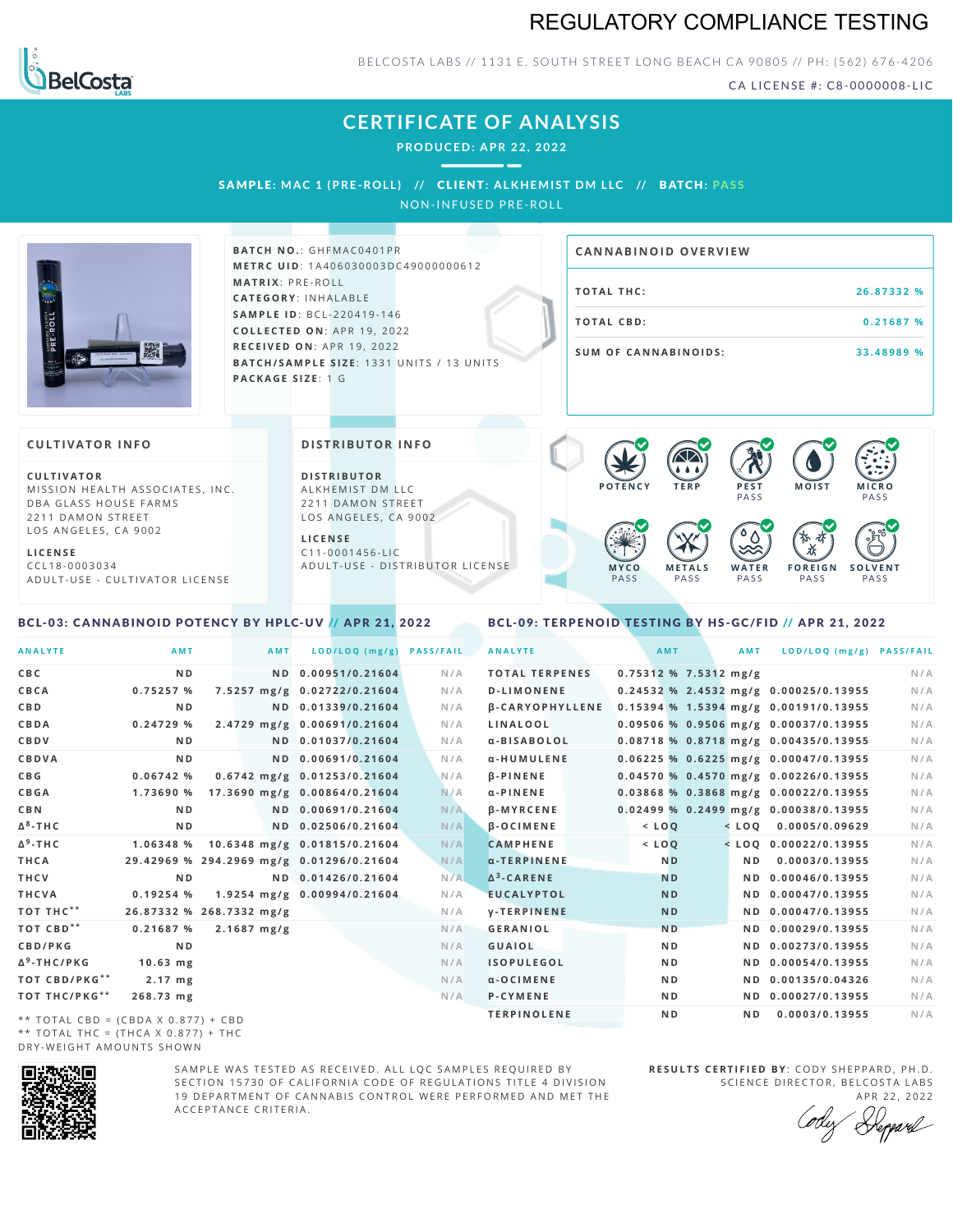# REGULATORY COMPLIANCE TESTING



BELCOSTA LABS // 1131 E. SOUTH STREET LONG BEACH CA 90805 // PH: (562) 676-4206

CA LICENSE #: C8-0000008-LIC

# **CERTIFICATE OF ANALYSIS**

**PRODUCED: A PR 22, 2022**

SAMPL E **: MAC 1 (PRE -ROL L ) //** CL I ENT**: A LKHEMI ST DM L LC //** BATCH**: PA S S** NON-INFUSED PRE-ROLL



#### **BATCH NO.: GHFMAC0401PR M E T R C U ID** :1 A 4 0 6 0 3 0 0 0 3 D C 4 9 0 0 0 0 0 0 6 1 2 **M AT R I X** :P R E - R O L L **CAT E G O R Y** : I N H A L A B L E **SA M P L E I D** :B C L - 2 2 0 4 1 9 - 1 4 6 **C O L L E C T E D O N** :A P R 1 9 ,2 0 2 2 **R E C E I V E D O N** : A P R 1 9 , 2 0 2 2 **BATCH/SAMPLE SIZE: 1331 UNITS / 13 UNITS PAC KA G E S I Z E** : 1 G

# **T O TAL T H C :2 6 . 8 7 3 3 2 % T O TAL CB D :0 . 2 1 6 8 7 % S U M O F CA N N ABI N O I D S : 3 3 . 4 8 9 8 9 % CA N N ABI N OID OVERVI EW**

#### **CULTIVATOR I N FO**

**C U L T I VAT O R** MISSION HEALTH ASSOCIATES, INC. DBA GLASS HOUSE FARMS 2211 DAMON STREET LOS ANGELES, CA 9002

**L I C E N S E** C C L 1 8 - 0 0 0 3 0 3 4 A D U L T - U S E - C U L T I V A T O R L I C E N S E

#### <span id="page-0-0"></span>BCL-03: CANNABINOID POTENCY BY HPLC-UV // APR 21, 2022

#### **DI STRIBUTOR I N FO**

**D I S T R IB U T O R** ALKHEMIST DM LLC 2211 DAMON STREET LOS ANGELES, CA 9002

**L I C E N S E**  $C$  1 1 - 0 0 0 1 4 5 6 - L I C A D U L T - U S E - D I STRI B U T O R LICENSE



<span id="page-0-1"></span>BCL-09: TERPENOID TESTING BY HS-GC/FID // APR 21, 2022

| <b>ANALYTE</b>                      | AMT                                      | AMT                   | $LOD/LOQ$ (mg/g)                       | <b>PASS/FAIL</b> | <b>ANALYTE</b>         | AMT            |                         | <b>AMT</b>     | LOD/LOQ (mg/g) PASS/FAIL                |     |
|-------------------------------------|------------------------------------------|-----------------------|----------------------------------------|------------------|------------------------|----------------|-------------------------|----------------|-----------------------------------------|-----|
| C B C                               | N <sub>D</sub>                           | N <sub>D</sub>        | 0.00951/0.21604                        | N/A              | <b>TOTAL TERPENES</b>  |                | $0.75312$ % 7.5312 mg/g |                |                                         | N/A |
| CBCA                                | 0.75257%                                 |                       | 7.5257 mg/g 0.02722/0.21604            | N/A              | <b>D-LIMONENE</b>      |                |                         |                | 0.24532 % 2.4532 mg/g 0.00025/0.13955   | N/A |
| C B D                               | N <sub>D</sub>                           |                       | ND 0.01339/0.21604                     | N/A              | <b>B-CARYOPHYLLENE</b> |                |                         |                | 0.15394 % 1.5394 mg/g 0.00191/0.13955   | N/A |
| CBDA                                | 0.24729%                                 |                       | 2.4729 mg/g 0.00691/0.21604            | N/A              | LINALOOL               |                |                         |                | 0.09506 % 0.9506 mg/g 0.00037/0.13955   | N/A |
| CBDV                                | N <sub>D</sub>                           |                       | ND 0.01037/0.21604                     | N/A              | α-BISABOLOL            |                |                         |                | 0.08718 % 0.8718 mg/g 0.00435/0.13955   | N/A |
| CBDVA                               | N <sub>D</sub>                           |                       | ND 0.00691/0.21604                     | N/A              | α-HUMULENE             |                |                         |                | $0.06225$ % 0.6225 mg/g 0.00047/0.13955 | N/A |
| C B G                               | 0.06742%                                 |                       | 0.6742 mg/g 0.01253/0.21604            | N/A              | $\beta$ -PINENE        |                |                         |                | $0.04570$ % 0.4570 mg/g 0.00226/0.13955 | N/A |
| CBGA                                |                                          |                       | 1.73690 % 17.3690 mg/g 0.00864/0.21604 | N/A              | $\alpha$ -PINENE       |                |                         |                | 0.03868 % 0.3868 mg/g 0.00022/0.13955   | N/A |
| C B N                               | N <sub>D</sub>                           |                       | ND 0.00691/0.21604                     | N/A              | <b>B-MYRCENE</b>       |                |                         |                | $0.02499$ % 0.2499 mg/g 0.00038/0.13955 | N/A |
| Δ <sup>8</sup> -ΤΗC                 | N <sub>D</sub>                           |                       | ND 0.02506/0.21604                     | N/A              | $\beta$ -OCIMENE       | $<$ $LOO$      |                         |                | $<$ LOQ 0.0005/0.09629                  | N/A |
| Δ <sup>9</sup> -ΤΗ C                |                                          |                       | 1.06348 % 10.6348 mg/g 0.01815/0.21604 | N/A              | <b>CAMPHENE</b>        | $<$ $LOQ$      |                         |                | $<$ LOO 0.00022/0.13955                 | N/A |
| THCA                                | 29.42969 % 294.2969 mg/g 0.01296/0.21604 |                       |                                        | N/A              | $\alpha$ -TERPINENE    | N <sub>D</sub> |                         | N D            | 0.0003/0.13955                          | N/A |
| THCV                                | <b>ND</b>                                |                       | ND 0.01426/0.21604                     | N/A              | $\Delta^3$ -CARENE     | <b>ND</b>      |                         |                | ND 0.00046/0.13955                      | N/A |
| THCVA                               | 0.19254%                                 |                       | 1.9254 mg/g 0.00994/0.21604            | N/A              | <b>EUCALYPTOL</b>      | <b>ND</b>      |                         |                | ND 0.00047/0.13955                      | N/A |
| тот тнс**                           | 26.87332 % 268.7332 mg/g                 |                       |                                        | N/A              | <b>V-TERPINENE</b>     | N <sub>D</sub> |                         |                | ND 0.00047/0.13955                      | N/A |
| ТОТ СВD**                           | 0.21687%                                 | $2.1687 \text{ mg/g}$ |                                        | N/A              | GERANIOL               | <b>ND</b>      |                         |                | ND 0.00029/0.13955                      | N/A |
| CBD/PKG                             | N <sub>D</sub>                           |                       |                                        | N/A              | <b>GUAIOL</b>          | N <sub>D</sub> |                         |                | ND 0.00273/0.13955                      | N/A |
| Δ <sup>9</sup> -THC/PKG             | $10.63$ mg                               |                       |                                        | N/A              | <b>ISOPULEGOL</b>      | N <sub>D</sub> |                         |                | ND 0.00054/0.13955                      | N/A |
| ТОТ СВD/РКG**                       | $2.17$ mg                                |                       |                                        | N/A              | $\alpha$ -OCIMENE      | N <sub>D</sub> |                         |                | ND 0.00135/0.04326                      | N/A |
| ТОТ ТНС/РКG**                       | 268.73 mg                                |                       |                                        | N/A              | <b>P-CYMENE</b>        | ND.            |                         |                | ND 0.00027/0.13955                      | N/A |
| ** TOTAL CRD - (CRDA V 0 977) + CRD |                                          |                       |                                        |                  | <b>TERPINOLENE</b>     | N <sub>D</sub> |                         | N <sub>D</sub> | 0.0003/0.13955                          | N/A |

\*\* TOTAL CBD =  $(CBDA X 0.877) + CBD$ \*\* TOTAL THC =  $(THCA X 0.877) + THC$ DRY-WEIGHT AMOUNTS SHOWN



SAMPLE WAS TESTED AS RECEIVED. ALL LOC SAMPLES REQUIRED BY SECTION 15730 OF CALIFORNIA CODE OF REGULATIONS TITLE 4 DIVISION 19 DEPARTMENT OF CANNABIS CONTROL WERE PERFORMED AND MET THE A C C E P T A N C E C R I T E R I A .

**R E S U L T S C E R T I F I E D BY** : C O D Y S H E P P A R D ,P H .D . SCIENCE DIRECTOR, BELCOSTA LABS

A P R 22, 2022 Heppard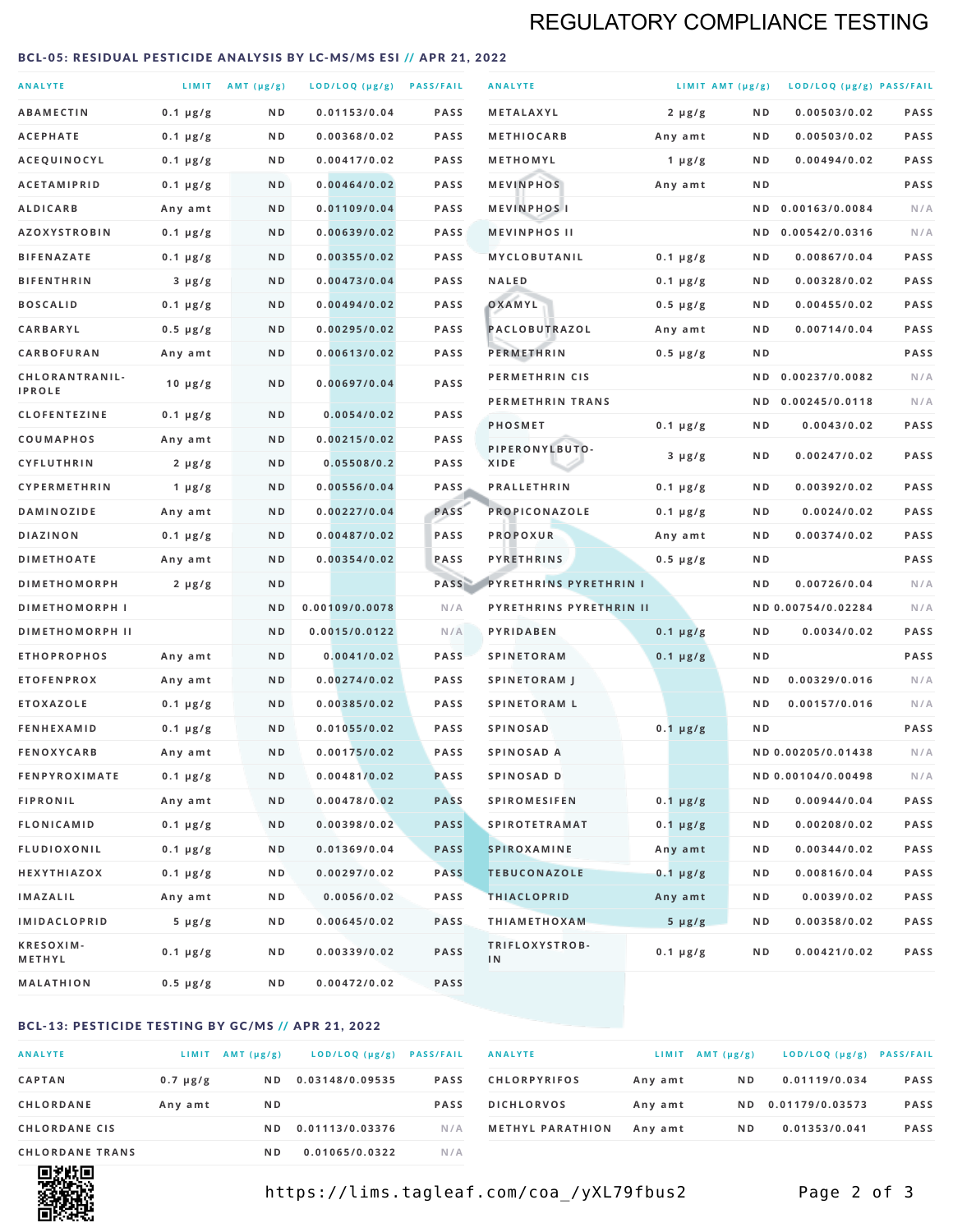# REGULATORY COMPLIANCE TESTING

#### <span id="page-1-0"></span>BCL-05: RESIDUAL PESTICIDE ANALYSIS BY LC-MS/MS ESI // APR 21, 2022

| <b>ANALYTE</b>                  |                  | LIMIT $AMT(\mu g/g)$ | LOD/LOQ (µg/g) PASS/FAIL |             | <b>ANALYTE</b>                | LIMIT AMT $(\mu g/g)$ |     | LOD/LOQ (µg/g) PASS/FAIL |             |
|---------------------------------|------------------|----------------------|--------------------------|-------------|-------------------------------|-----------------------|-----|--------------------------|-------------|
| <b>ABAMECTIN</b>                | $0.1 \mu g/g$    | N D                  | 0.01153/0.04             | <b>PASS</b> | <b>METALAXYL</b>              | $2 \mu g/g$           | N D | 0.00503/0.02             | <b>PASS</b> |
| <b>ACEPHATE</b>                 | $0.1 \mu g/g$    | ND                   | 0.00368/0.02             | <b>PASS</b> | <b>METHIOCARB</b>             | Any amt               | ND. | 0.00503/0.02             | PASS        |
| ACEQUINOCYL                     | $0.1 \mu g/g$    | N D                  | 0.00417/0.02             | <b>PASS</b> | METHOMYL                      | 1 $\mu$ g/g           | N D | 0.00494/0.02             | PASS        |
| <b>ACETAMIPRID</b>              | $0.1 \mu g/g$    | N D                  | 0.00464/0.02             | <b>PASS</b> | <b>MEVINPHOS</b>              | Any amt               | N D |                          | PASS        |
| <b>ALDICARB</b>                 | Any amt          | N D                  | 0.01109/0.04             | <b>PASS</b> | <b>MEVINPHOSI</b>             |                       | N D | 0.00163/0.0084           | N/A         |
| <b>AZOXYSTROBIN</b>             | $0.1 \mu g/g$    | N D                  | 0.00639/0.02             | <b>PASS</b> | <b>MEVINPHOS II</b>           |                       | N D | 0.00542/0.0316           | N/A         |
| <b>BIFENAZATE</b>               | $0.1 \mu g/g$    | N D                  | 0.00355/0.02             | <b>PASS</b> | <b>MYCLOBUTANIL</b>           | $0.1 \mu g/g$         | N D | 0.00867/0.04             | <b>PASS</b> |
| <b>BIFENTHRIN</b>               | $3 \mu g/g$      | N D                  | 0.00473/0.04             | <b>PASS</b> | <b>NALED</b>                  | $0.1 \mu g/g$         | ND. | 0.00328/0.02             | PASS        |
| <b>BOSCALID</b>                 | $0.1 \mu g/g$    | N D                  | 0.00494/0.02             | <b>PASS</b> | OXAMYL                        | $0.5 \mu g/g$         | ND. | 0.00455/0.02             | PASS        |
| <b>CARBARYL</b>                 | $0.5 \mu g/g$    | N D                  | 0.00295/0.02             | <b>PASS</b> | PACLOBUTRAZOL                 | Any amt               | N D | 0.00714/0.04             | <b>PASS</b> |
| CARBOFURAN                      | Any amt          | N D                  | 0.00613/0.02             | <b>PASS</b> | <b>PERMETHRIN</b>             | $0.5 \mu g/g$         | ND. |                          | PASS        |
| CHLORANTRANIL-<br><b>IPROLE</b> | $10 \mu g/g$     | N D                  | 0.00697/0.04             | PASS        | PERMETHRIN CIS                |                       | N D | 0.00237/0.0082           | N/A         |
| <b>CLOFENTEZINE</b>             | $0.1 \mu g/g$    | N D                  | 0.0054/0.02              | <b>PASS</b> | PERMETHRIN TRANS              |                       |     | ND 0.00245/0.0118        | N/A         |
| COUMAPHOS                       | Any amt          | ND                   | 0.00215/0.02             | <b>PASS</b> | <b>PHOSMET</b>                | $0.1 \mu g/g$         | N D | 0.0043/0.02              | PASS        |
| CYFLUTHRIN                      | $2 \mu g/g$      | ND                   | 0.05508/0.2              | <b>PASS</b> | PIPERONYLBUTO-<br><b>XIDE</b> | $3 \mu g/g$           | N D | 0.00247/0.02             | PASS        |
| <b>CYPERMETHRIN</b>             | 1 $\mu$ g/g      | N D                  | 0.00556/0.04             | <b>PASS</b> | <b>PRALLETHRIN</b>            | $0.1 \mu g/g$         | N D | 0.00392/0.02             | PASS        |
| <b>DAMINOZIDE</b>               | Any amt          | N D                  | 0.00227/0.04             | PASS        | PROPICONAZOLE                 | $0.1 \mu g/g$         | N D | 0.0024/0.02              | <b>PASS</b> |
| <b>DIAZINON</b>                 | $0.1 \mu g/g$    | N D                  | 0.00487/0.02             | PASS        | <b>PROPOXUR</b>               | Any amt               | ND. | 0.00374/0.02             | PASS        |
| <b>DIMETHOATE</b>               | Any amt          | N D                  | 0.00354/0.02             | PASS        | <b>PYRETHRINS</b>             | $0.5 \mu g/g$         | N D |                          | PASS        |
| <b>DIMETHOMORPH</b>             | $2 \mu g/g$      | N D                  |                          | PASS        | <b>PYRETHRINS PYRETHRIN I</b> |                       | ND  | 0.00726/0.04             | N/A         |
| <b>DIMETHOMORPH I</b>           |                  | ND                   | 0.00109/0.0078           | N/A         | PYRETHRINS PYRETHRIN II       |                       |     | ND 0.00754/0.02284       | N/A         |
| <b>DIMETHOMORPH II</b>          |                  | N <sub>D</sub>       | 0.0015/0.0122            | N/A         | PYRIDABEN                     | $0.1 \mu g/g$         | N D | 0.0034/0.02              | PASS        |
| <b>ETHOPROPHOS</b>              | Any amt          | N D                  | 0.0041/0.02              | <b>PASS</b> | <b>SPINETORAM</b>             | $0.1 \mu g/g$         | N D |                          | PASS        |
| <b>ETOFENPROX</b>               | Any amt          | N D                  | 0.00274/0.02             | <b>PASS</b> | <b>SPINETORAM J</b>           |                       | N D | 0.00329/0.016            | N/A         |
| <b>ETOXAZOLE</b>                | $0.1 \mu g/g$    | N D                  | 0.00385/0.02             | <b>PASS</b> | <b>SPINETORAM L</b>           |                       | N D | 0.00157/0.016            | N/A         |
| <b>FENHEXAMID</b>               | $0.1 \mu g/g$    | N D                  | 0.01055/0.02             | <b>PASS</b> | <b>SPINOSAD</b>               | $0.1 \mu g/g$         | N D |                          | <b>PASS</b> |
| <b>FENOXYCARB</b>               | Any amt          | ND                   | 0.00175/0.02             | <b>PASS</b> | SPINOSAD A                    |                       |     | ND 0.00205/0.01438       | N/A         |
| <b>FENPYROXIMATE</b>            | $0.1 \mu g/g$    | N D                  | 0.00481/0.02             | <b>PASS</b> | SPINOSAD D                    |                       |     | ND 0.00104/0.00498       | N/A         |
| <b>FIPRONIL</b>                 | Any amt          | N D                  | 0.00478/0.02             | <b>PASS</b> | <b>SPIROMESIFEN</b>           | $0.1 \mu g/g$         | N D | 0.00944/0.04             | PASS        |
| <b>FLONICAMID</b>               | $0.1 \mu g/g$    | N D                  | 0.00398/0.02             | <b>PASS</b> | <b>SPIROTETRAMAT</b>          | $0.1 \mu g/g$         | N D | 0.00208/0.02             | PASS        |
| <b>FLUDIOXONIL</b>              | $0.1 \, \mu g/g$ | N D                  | 0.01369/0.04             | <b>PASS</b> | <b>SPIROXAMINE</b>            | Any amt               | N D | 0.00344/0.02             | PASS        |
| <b>HEXYTHIAZOX</b>              | $0.1 \mu g/g$    | N D                  | 0.00297/0.02             | <b>PASS</b> | <b>TEBUCONAZOLE</b>           | $0.1 \mu g/g$         | N D | 0.00816/0.04             | PASS        |
| <b>IMAZALIL</b>                 | Any amt          | N D                  | 0.0056/0.02              | PASS        | <b>THIACLOPRID</b>            | Any amt               | ND. | 0.0039/0.02              | PASS        |
| <b>IMIDACLOPRID</b>             | $5 \mu g/g$      | N D                  | 0.00645/0.02             | <b>PASS</b> | <b>THIAMETHOXAM</b>           | $5 \mu g/g$           | N D | 0.00358/0.02             | PASS        |
| KRESOXIM-<br>METHYL             | $0.1 \mu g/g$    | N D                  | 0.00339/0.02             | PASS        | TRIFLOXYSTROB-<br>IN          | $0.1 \mu g/g$         | ND. | 0.00421/0.02             | PASS        |
| <b>MALATHION</b>                | $0.5 \mu g/g$    | N D                  | 0.00472/0.02             | PASS        |                               |                       |     |                          |             |

### BCL-13: PESTICIDE TESTING BY GC/MS // APR 21, 2022

| <b>ANALYTE</b>         | LIMIT         | $AMT(\mu g/g)$ | LOD/LOQ (µg/g)  | <b>PASS/FAIL</b> |
|------------------------|---------------|----------------|-----------------|------------------|
| <b>CAPTAN</b>          | $0.7 \mu g/g$ | N D            | 0.03148/0.09535 | <b>PASS</b>      |
| <b>CHLORDANE</b>       | Any amt       | N D            |                 | <b>PASS</b>      |
| <b>CHLORDANE CIS</b>   |               | ND.            | 0.01113/0.03376 | N/A              |
| <b>CHLORDANE TRANS</b> |               | ND.            | 0.01065/0.0322  | N / A            |

| <b>ANALYTE</b>          | <b>LIMIT</b> | $AMT(\mu g/g)$ | LOD/LOQ (µg/g) PASS/FAIL |             |
|-------------------------|--------------|----------------|--------------------------|-------------|
| <b>CHLORPYRIFOS</b>     | Any amt      | N D            | 0.01119/0.034            | <b>PASS</b> |
| <b>DICHLORVOS</b>       | Any amt      | ND.            | 0.01179/0.03573          | <b>PASS</b> |
| <b>METHYL PARATHION</b> | Any amt      | N D            | 0.01353/0.041            | <b>PASS</b> |